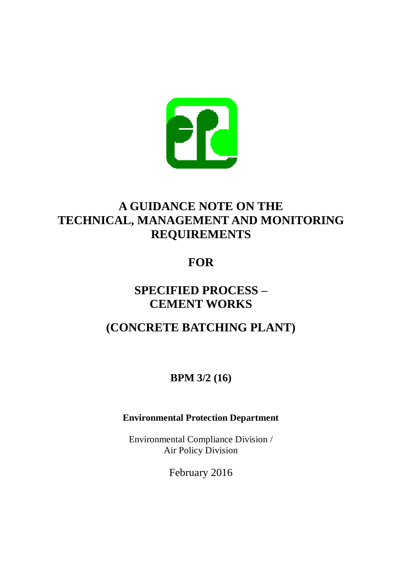

# **A GUIDANCE NOTE ON THE TECHNICAL, MANAGEMENT AND MONITORING REQUIREMENTS**

# **FOR**

## **SPECIFIED PROCESS – CEMENT WORKS**

# **(CONCRETE BATCHING PLANT)**

## **BPM 3/2 (16)**

## **Environmental Protection Department**

Environmental Compliance Division / Air Policy Division

February 2016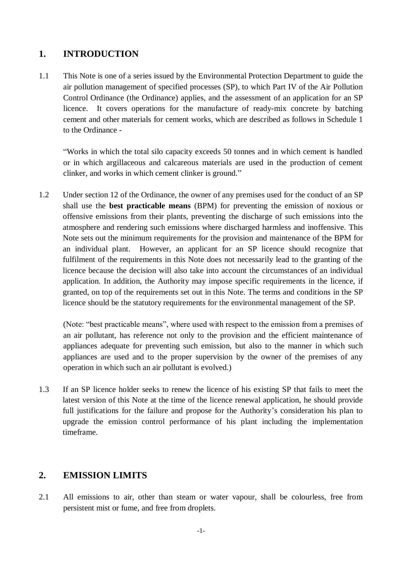## **1. INTRODUCTION**

1.1 This Note is one of a series issued by the Environmental Protection Department to guide the air pollution management of specified processes (SP), to which Part IV of the Air Pollution Control Ordinance (the Ordinance) applies, and the assessment of an application for an SP licence. It covers operations for the manufacture of ready-mix concrete by batching cement and other materials for cement works, which are described as follows in Schedule 1 to the Ordinance -

"Works in which the total silo capacity exceeds 50 tonnes and in which cement is handled or in which argillaceous and calcareous materials are used in the production of cement clinker, and works in which cement clinker is ground."

1.2 Under section 12 of the Ordinance, the owner of any premises used for the conduct of an SP shall use the **best practicable means** (BPM) for preventing the emission of noxious or offensive emissions from their plants, preventing the discharge of such emissions into the atmosphere and rendering such emissions where discharged harmless and inoffensive. This Note sets out the minimum requirements for the provision and maintenance of the BPM for an individual plant. However, an applicant for an SP licence should recognize that fulfilment of the requirements in this Note does not necessarily lead to the granting of the licence because the decision will also take into account the circumstances of an individual application. In addition, the Authority may impose specific requirements in the licence, if granted, on top of the requirements set out in this Note. The terms and conditions in the SP licence should be the statutory requirements for the environmental management of the SP.

(Note: "best practicable means", where used with respect to the emission from a premises of an air pollutant, has reference not only to the provision and the efficient maintenance of appliances adequate for preventing such emission, but also to the manner in which such appliances are used and to the proper supervision by the owner of the premises of any operation in which such an air pollutant is evolved.)

1.3 If an SP licence holder seeks to renew the licence of his existing SP that fails to meet the latest version of this Note at the time of the licence renewal application, he should provide full justifications for the failure and propose for the Authority's consideration his plan to upgrade the emission control performance of his plant including the implementation timeframe.

#### **2. EMISSION LIMITS**

2.1 All emissions to air, other than steam or water vapour, shall be colourless, free from persistent mist or fume, and free from droplets.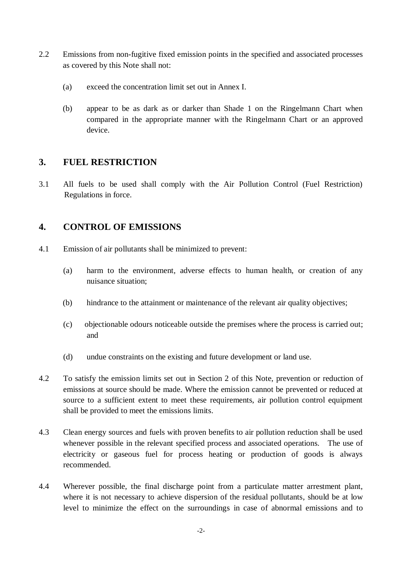- 2.2 Emissions from non-fugitive fixed emission points in the specified and associated processes as covered by this Note shall not:
	- (a) exceed the concentration limit set out in Annex I.
	- (b) appear to be as dark as or darker than Shade 1 on the Ringelmann Chart when compared in the appropriate manner with the Ringelmann Chart or an approved device.

### **3. FUEL RESTRICTION**

3.1 All fuels to be used shall comply with the Air Pollution Control (Fuel Restriction) Regulations in force.

## **4. CONTROL OF EMISSIONS**

- 4.1 Emission of air pollutants shall be minimized to prevent:
	- (a) harm to the environment, adverse effects to human health, or creation of any nuisance situation;
	- (b) hindrance to the attainment or maintenance of the relevant air quality objectives;
	- (c) objectionable odours noticeable outside the premises where the process is carried out; and
	- (d) undue constraints on the existing and future development or land use.
- 4.2 To satisfy the emission limits set out in Section 2 of this Note, prevention or reduction of emissions at source should be made. Where the emission cannot be prevented or reduced at source to a sufficient extent to meet these requirements, air pollution control equipment shall be provided to meet the emissions limits.
- 4.3 Clean energy sources and fuels with proven benefits to air pollution reduction shall be used whenever possible in the relevant specified process and associated operations. The use of electricity or gaseous fuel for process heating or production of goods is always recommended.
- 4.4 Wherever possible, the final discharge point from a particulate matter arrestment plant, where it is not necessary to achieve dispersion of the residual pollutants, should be at low level to minimize the effect on the surroundings in case of abnormal emissions and to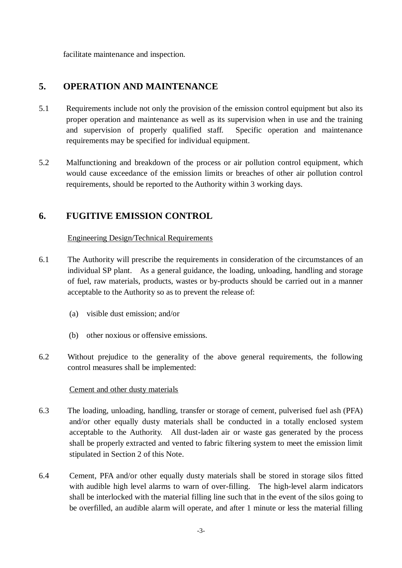facilitate maintenance and inspection.

## **5. OPERATION AND MAINTENANCE**

- 5.1 Requirements include not only the provision of the emission control equipment but also its proper operation and maintenance as well as its supervision when in use and the training and supervision of properly qualified staff. Specific operation and maintenance requirements may be specified for individual equipment.
- 5.2 Malfunctioning and breakdown of the process or air pollution control equipment, which would cause exceedance of the emission limits or breaches of other air pollution control requirements, should be reported to the Authority within 3 working days.

## **6. FUGITIVE EMISSION CONTROL**

#### Engineering Design/Technical Requirements

- 6.1 The Authority will prescribe the requirements in consideration of the circumstances of an individual SP plant. As a general guidance, the loading, unloading, handling and storage of fuel, raw materials, products, wastes or by-products should be carried out in a manner acceptable to the Authority so as to prevent the release of:
	- (a) visible dust emission; and/or
	- (b) other noxious or offensive emissions.
- 6.2 Without prejudice to the generality of the above general requirements, the following control measures shall be implemented:

#### Cement and other dusty materials

- 6.3 The loading, unloading, handling, transfer or storage of cement, pulverised fuel ash (PFA) and/or other equally dusty materials shall be conducted in a totally enclosed system acceptable to the Authority. All dust-laden air or waste gas generated by the process shall be properly extracted and vented to fabric filtering system to meet the emission limit stipulated in Section 2 of this Note.
- 6.4 Cement, PFA and/or other equally dusty materials shall be stored in storage silos fitted with audible high level alarms to warn of over-filling. The high-level alarm indicators shall be interlocked with the material filling line such that in the event of the silos going to be overfilled, an audible alarm will operate, and after 1 minute or less the material filling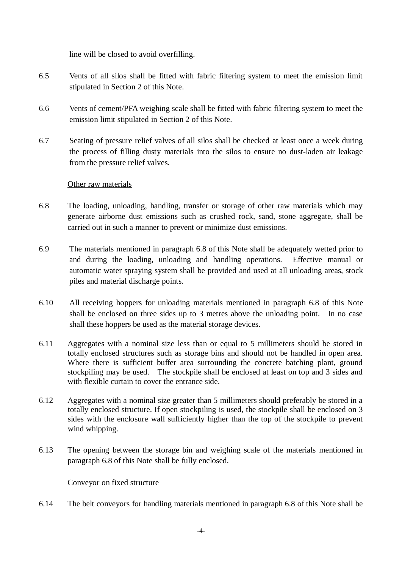line will be closed to avoid overfilling.

- 6.5 Vents of all silos shall be fitted with fabric filtering system to meet the emission limit stipulated in Section 2 of this Note.
- 6.6 Vents of cement/PFA weighing scale shall be fitted with fabric filtering system to meet the emission limit stipulated in Section 2 of this Note.
- 6.7 Seating of pressure relief valves of all silos shall be checked at least once a week during the process of filling dusty materials into the silos to ensure no dust-laden air leakage from the pressure relief valves.

#### Other raw materials

- 6.8 The loading, unloading, handling, transfer or storage of other raw materials which may generate airborne dust emissions such as crushed rock, sand, stone aggregate, shall be carried out in such a manner to prevent or minimize dust emissions.
- 6.9 The materials mentioned in paragraph 6.8 of this Note shall be adequately wetted prior to and during the loading, unloading and handling operations. Effective manual or automatic water spraying system shall be provided and used at all unloading areas, stock piles and material discharge points.
- 6.10 All receiving hoppers for unloading materials mentioned in paragraph 6.8 of this Note shall be enclosed on three sides up to 3 metres above the unloading point. In no case shall these hoppers be used as the material storage devices.
- 6.11 Aggregates with a nominal size less than or equal to 5 millimeters should be stored in totally enclosed structures such as storage bins and should not be handled in open area. Where there is sufficient buffer area surrounding the concrete batching plant, ground stockpiling may be used. The stockpile shall be enclosed at least on top and 3 sides and with flexible curtain to cover the entrance side.
- 6.12 Aggregates with a nominal size greater than 5 millimeters should preferably be stored in a totally enclosed structure. If open stockpiling is used, the stockpile shall be enclosed on 3 sides with the enclosure wall sufficiently higher than the top of the stockpile to prevent wind whipping.
- 6.13 The opening between the storage bin and weighing scale of the materials mentioned in paragraph 6.8 of this Note shall be fully enclosed.

#### Conveyor on fixed structure

6.14 The belt conveyors for handling materials mentioned in paragraph 6.8 of this Note shall be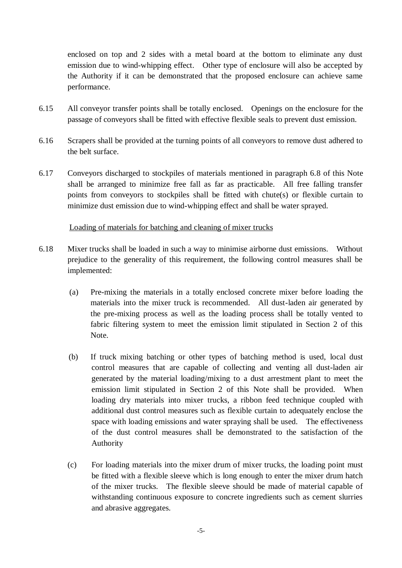enclosed on top and 2 sides with a metal board at the bottom to eliminate any dust emission due to wind-whipping effect. Other type of enclosure will also be accepted by the Authority if it can be demonstrated that the proposed enclosure can achieve same performance.

- 6.15 All conveyor transfer points shall be totally enclosed. Openings on the enclosure for the passage of conveyors shall be fitted with effective flexible seals to prevent dust emission.
- 6.16 Scrapers shall be provided at the turning points of all conveyors to remove dust adhered to the belt surface.
- 6.17 Conveyors discharged to stockpiles of materials mentioned in paragraph 6.8 of this Note shall be arranged to minimize free fall as far as practicable. All free falling transfer points from conveyors to stockpiles shall be fitted with chute(s) or flexible curtain to minimize dust emission due to wind-whipping effect and shall be water sprayed.

#### Loading of materials for batching and cleaning of mixer trucks

- 6.18 Mixer trucks shall be loaded in such a way to minimise airborne dust emissions. Without prejudice to the generality of this requirement, the following control measures shall be implemented:
	- (a) Pre-mixing the materials in a totally enclosed concrete mixer before loading the materials into the mixer truck is recommended. All dust-laden air generated by the pre-mixing process as well as the loading process shall be totally vented to fabric filtering system to meet the emission limit stipulated in Section 2 of this Note.
	- (b) If truck mixing batching or other types of batching method is used, local dust control measures that are capable of collecting and venting all dust-laden air generated by the material loading/mixing to a dust arrestment plant to meet the emission limit stipulated in Section 2 of this Note shall be provided. When loading dry materials into mixer trucks, a ribbon feed technique coupled with additional dust control measures such as flexible curtain to adequately enclose the space with loading emissions and water spraying shall be used. The effectiveness of the dust control measures shall be demonstrated to the satisfaction of the Authority
	- (c) For loading materials into the mixer drum of mixer trucks, the loading point must be fitted with a flexible sleeve which is long enough to enter the mixer drum hatch of the mixer trucks. The flexible sleeve should be made of material capable of withstanding continuous exposure to concrete ingredients such as cement slurries and abrasive aggregates.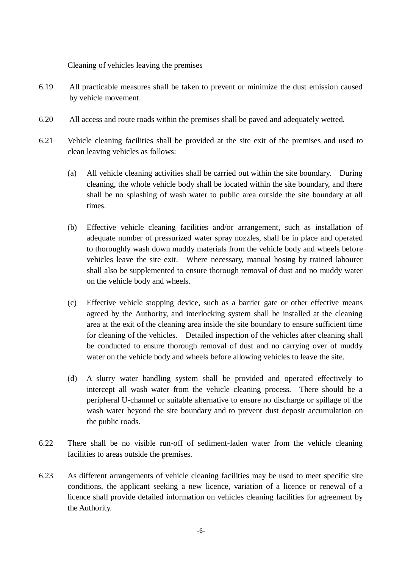#### Cleaning of vehicles leaving the premises

- 6.19 All practicable measures shall be taken to prevent or minimize the dust emission caused by vehicle movement.
- 6.20 All access and route roads within the premises shall be paved and adequately wetted.
- 6.21 Vehicle cleaning facilities shall be provided at the site exit of the premises and used to clean leaving vehicles as follows:
	- (a) All vehicle cleaning activities shall be carried out within the site boundary. During cleaning, the whole vehicle body shall be located within the site boundary, and there shall be no splashing of wash water to public area outside the site boundary at all times.
	- (b) Effective vehicle cleaning facilities and/or arrangement, such as installation of adequate number of pressurized water spray nozzles, shall be in place and operated to thoroughly wash down muddy materials from the vehicle body and wheels before vehicles leave the site exit. Where necessary, manual hosing by trained labourer shall also be supplemented to ensure thorough removal of dust and no muddy water on the vehicle body and wheels.
	- (c) Effective vehicle stopping device, such as a barrier gate or other effective means agreed by the Authority, and interlocking system shall be installed at the cleaning area at the exit of the cleaning area inside the site boundary to ensure sufficient time for cleaning of the vehicles. Detailed inspection of the vehicles after cleaning shall be conducted to ensure thorough removal of dust and no carrying over of muddy water on the vehicle body and wheels before allowing vehicles to leave the site.
	- (d) A slurry water handling system shall be provided and operated effectively to intercept all wash water from the vehicle cleaning process. There should be a peripheral U-channel or suitable alternative to ensure no discharge or spillage of the wash water beyond the site boundary and to prevent dust deposit accumulation on the public roads.
- 6.22 There shall be no visible run-off of sediment-laden water from the vehicle cleaning facilities to areas outside the premises.
- 6.23 As different arrangements of vehicle cleaning facilities may be used to meet specific site conditions, the applicant seeking a new licence, variation of a licence or renewal of a licence shall provide detailed information on vehicles cleaning facilities for agreement by the Authority.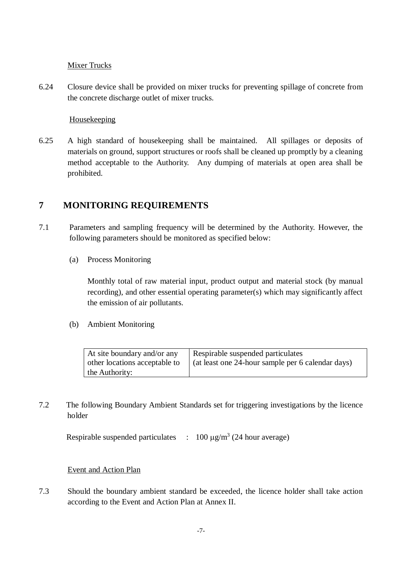#### Mixer Trucks

6.24 Closure device shall be provided on mixer trucks for preventing spillage of concrete from the concrete discharge outlet of mixer trucks.

#### Housekeeping

6.25 A high standard of housekeeping shall be maintained. All spillages or deposits of materials on ground, support structures or roofs shall be cleaned up promptly by a cleaning method acceptable to the Authority. Any dumping of materials at open area shall be prohibited.

## **7 MONITORING REQUIREMENTS**

- 7.1 Parameters and sampling frequency will be determined by the Authority. However, the following parameters should be monitored as specified below:
	- (a) Process Monitoring

Monthly total of raw material input, product output and material stock (by manual recording), and other essential operating parameter(s) which may significantly affect the emission of air pollutants.

(b) Ambient Monitoring

| At site boundary and/or any   | Respirable suspended particulates                 |
|-------------------------------|---------------------------------------------------|
| other locations acceptable to | (at least one 24-hour sample per 6 calendar days) |
| the Authority:                |                                                   |

7.2 The following Boundary Ambient Standards set for triggering investigations by the licence holder

Respirable suspended particulates  $\therefore$  100  $\mu$ g/m<sup>3</sup> (24 hour average)

#### Event and Action Plan

7.3 Should the boundary ambient standard be exceeded, the licence holder shall take action according to the Event and Action Plan at Annex II.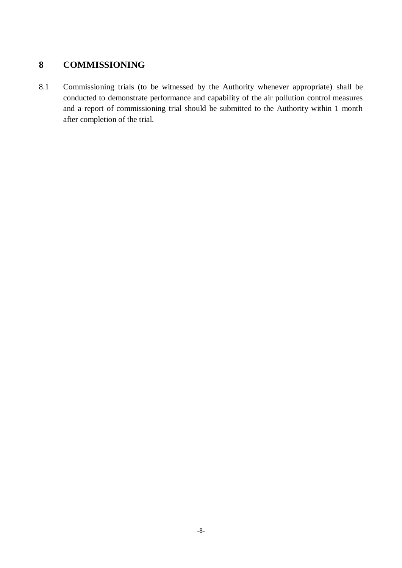## **8 COMMISSIONING**

8.1 Commissioning trials (to be witnessed by the Authority whenever appropriate) shall be conducted to demonstrate performance and capability of the air pollution control measures and a report of commissioning trial should be submitted to the Authority within 1 month after completion of the trial.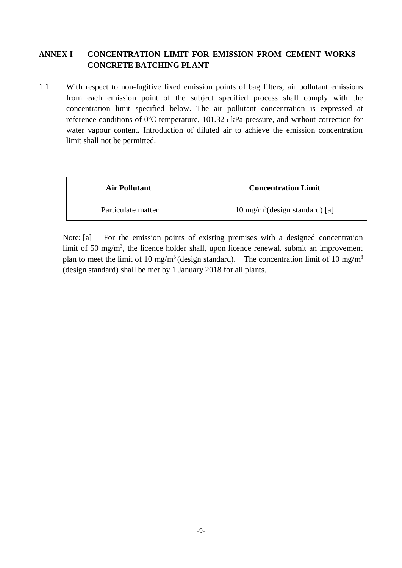#### **ANNEX I CONCENTRATION LIMIT FOR EMISSION FROM CEMENT WORKS – CONCRETE BATCHING PLANT**

1.1 With respect to non-fugitive fixed emission points of bag filters, air pollutant emissions from each emission point of the subject specified process shall comply with the concentration limit specified below. The air pollutant concentration is expressed at reference conditions of  $0^{\circ}$ C temperature, 101.325 kPa pressure, and without correction for water vapour content. Introduction of diluted air to achieve the emission concentration limit shall not be permitted.

| <b>Air Pollutant</b> | <b>Concentration Limit</b>                |
|----------------------|-------------------------------------------|
| Particulate matter   | $10 \text{ mg/m}^3$ (design standard) [a] |

Note: [a] For the emission points of existing premises with a designed concentration limit of 50 mg/m<sup>3</sup>, the licence holder shall, upon licence renewal, submit an improvement plan to meet the limit of 10 mg/m<sup>3</sup> (design standard). The concentration limit of 10 mg/m<sup>3</sup> (design standard) shall be met by 1 January 2018 for all plants.